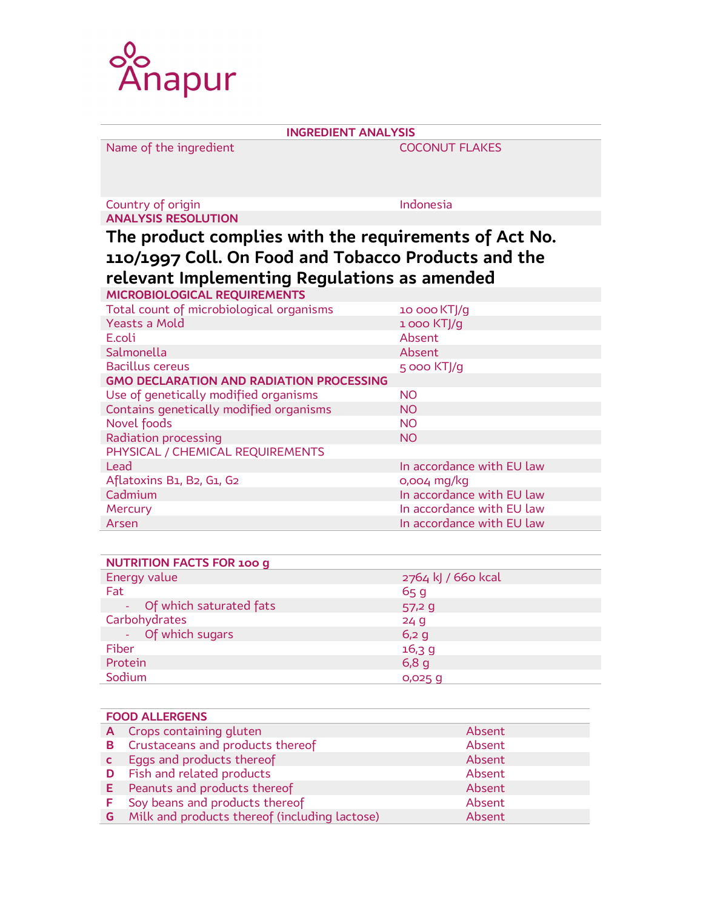

| <b>INGREDIENT ANALYSIS</b>                                                                                                                                   |                           |  |  |  |
|--------------------------------------------------------------------------------------------------------------------------------------------------------------|---------------------------|--|--|--|
| Name of the ingredient                                                                                                                                       | <b>COCONUT FLAKES</b>     |  |  |  |
| Country of origin                                                                                                                                            | Indonesia                 |  |  |  |
| <b>ANALYSIS RESOLUTION</b>                                                                                                                                   |                           |  |  |  |
| The product complies with the requirements of Act No.<br>110/1997 Coll. On Food and Tobacco Products and the<br>relevant Implementing Regulations as amended |                           |  |  |  |
| MICROBIOLOGICAL REQUIREMENTS                                                                                                                                 |                           |  |  |  |
| Total count of microbiological organisms                                                                                                                     | 10 000 KTJ/g              |  |  |  |
| <b>Yeasts a Mold</b>                                                                                                                                         | 1000 KTJ/g                |  |  |  |
| E.coli                                                                                                                                                       | Absent                    |  |  |  |
| Salmonella                                                                                                                                                   | Absent                    |  |  |  |
| <b>Bacillus cereus</b>                                                                                                                                       | 5 000 KTJ/g               |  |  |  |
| <b>GMO DECLARATION AND RADIATION PROCESSING</b>                                                                                                              |                           |  |  |  |
| Use of genetically modified organisms                                                                                                                        | <b>NO</b>                 |  |  |  |
| Contains genetically modified organisms                                                                                                                      | <b>NO</b>                 |  |  |  |
| Novel foods                                                                                                                                                  | <b>NO</b>                 |  |  |  |
| Radiation processing                                                                                                                                         | <b>NO</b>                 |  |  |  |
| PHYSICAL / CHEMICAL REQUIREMENTS                                                                                                                             |                           |  |  |  |
| Lead                                                                                                                                                         | In accordance with EU law |  |  |  |
| Aflatoxins B1, B2, G1, G2                                                                                                                                    | 0,004 mg/kg               |  |  |  |
| Cadmium                                                                                                                                                      | In accordance with EU law |  |  |  |
| Mercury                                                                                                                                                      | In accordance with EU law |  |  |  |
| Arsen                                                                                                                                                        | In accordance with EU law |  |  |  |

| <b>NUTRITION FACTS FOR 100 g</b> |                      |  |  |  |
|----------------------------------|----------------------|--|--|--|
| Energy value                     | 2764 kJ / 660 kcal   |  |  |  |
| Fat                              | 65q                  |  |  |  |
| - Of which saturated fats        | 57,29                |  |  |  |
| Carbohydrates                    | 24g                  |  |  |  |
| - Of which sugars                | $6,2$ g              |  |  |  |
| Fiber                            | 16,39                |  |  |  |
| Protein                          | 6,8g                 |  |  |  |
| Sodium                           | $0,025$ <sub>q</sub> |  |  |  |

| <b>FOOD ALLERGENS</b> |                                                        |        |  |  |
|-----------------------|--------------------------------------------------------|--------|--|--|
|                       | A Crops containing gluten                              | Absent |  |  |
|                       | <b>B</b> Crustaceans and products thereof              | Absent |  |  |
| $\mathbf{C}$          | Eggs and products thereof                              | Absent |  |  |
|                       | <b>D</b> Fish and related products                     | Absent |  |  |
|                       | <b>E</b> Peanuts and products thereof                  | Absent |  |  |
| F.                    | Soy beans and products thereof                         | Absent |  |  |
|                       | <b>G</b> Milk and products thereof (including lactose) | Absent |  |  |